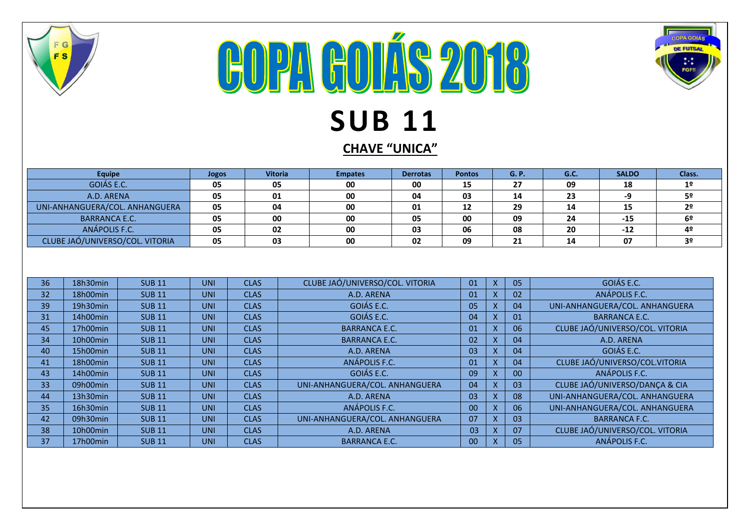

## **COPA GOLÁS 2018 SUB 11**

**CHAVE "UNICA"**

COPA GOIÁS

**DE FUTSAI** 

|            | <b>Equipe</b>        |                                 | <b>Jogos</b> | <b>Vitoria</b> |                                 | <b>Empates</b>       | <b>Derrotas</b> | <b>Pontos</b> |                           |                           | G. P.                           | G.C.                           | <b>SALDO</b>                    | Class.         |
|------------|----------------------|---------------------------------|--------------|----------------|---------------------------------|----------------------|-----------------|---------------|---------------------------|---------------------------|---------------------------------|--------------------------------|---------------------------------|----------------|
| GOIÁS E.C. |                      | 05                              | 05           |                | 00                              | 00                   | 15              |               |                           | 27                        | 09                              | 18                             | 1 <sup>°</sup>                  |                |
| A.D. ARENA |                      |                                 | 05           | 01             |                                 | 00                   | 04              | 03            |                           |                           | 14                              | 23                             | -9                              | 5º             |
|            |                      | UNI-ANHANGUERA/COL. ANHANGUERA  | 05           | 04             |                                 | 00                   | 01              | 12            |                           |                           | 29                              | 14                             | 15                              | 2 <sup>o</sup> |
|            | <b>BARRANCA E.C.</b> |                                 | 05           | 00             |                                 | 00                   | 05              | 00            |                           |                           | 09                              | 24                             | $-15$                           | 6º             |
|            | ANÁPOLIS F.C.        |                                 | 05           | 02             |                                 | 00                   | 03              | 06            |                           |                           | 08                              | 20                             | $-12$                           | 4º             |
|            |                      | CLUBE JAÓ/UNIVERSO/COL. VITORIA | 05           | 03             |                                 | 00                   | 02              | 09            |                           |                           | 21                              | 14                             | 07                              | 3 <sup>o</sup> |
|            |                      |                                 |              |                |                                 |                      |                 |               |                           |                           |                                 |                                |                                 |                |
| 36         | 18h30min             | <b>SUB 11</b>                   | <b>UNI</b>   | <b>CLAS</b>    |                                 |                      |                 |               | 01                        | $\mathsf{x}$              | 05                              |                                | GOIÁS E.C.                      |                |
| 32         | 18h00min             | <b>SUB11</b>                    | <b>UNI</b>   | <b>CLAS</b>    | CLUBE JAÓ/UNIVERSO/COL. VITORIA |                      |                 | 01            | $\boldsymbol{\mathsf{X}}$ | 02                        | ANÁPOLIS F.C.                   |                                |                                 |                |
| 39         | 19h30min             | <b>SUB11</b>                    | <b>UNI</b>   | <b>CLAS</b>    | A.D. ARENA                      |                      |                 |               | $\boldsymbol{\mathsf{X}}$ | 04                        | UNI-ANHANGUERA/COL. ANHANGUERA  |                                |                                 |                |
| 31         | 14h00min             |                                 | <b>UNI</b>   | <b>CLAS</b>    | GOIÁS E.C.                      |                      |                 | 05<br>04      | $\sf X$                   | 01                        | <b>BARRANCA E.C.</b>            |                                |                                 |                |
|            | 17h00min             | <b>SUB11</b><br><b>SUB11</b>    | <b>UNI</b>   | <b>CLAS</b>    | GOIÁS E.C.                      |                      |                 | 01            | $\boldsymbol{\mathsf{x}}$ | 06                        | CLUBE JAÓ/UNIVERSO/COL. VITORIA |                                |                                 |                |
| 45         |                      |                                 |              |                | <b>BARRANCA E.C.</b>            |                      |                 |               | $\boldsymbol{\mathsf{X}}$ |                           |                                 |                                |                                 |                |
| 34         | 10h00min             | <b>SUB11</b>                    | <b>UNI</b>   | <b>CLAS</b>    | <b>BARRANCA E.C.</b>            |                      |                 | 02            |                           | 04                        | A.D. ARENA                      |                                |                                 |                |
| 40         | 15h00min             | <b>SUB11</b>                    | <b>UNI</b>   | <b>CLAS</b>    |                                 | A.D. ARENA           |                 |               | 03                        | $\boldsymbol{\mathsf{X}}$ | 04                              | GOIÁS E.C.                     |                                 |                |
| 41         | 18h00min             | <b>SUB11</b>                    | <b>UNI</b>   | <b>CLAS</b>    |                                 | <b>ANÁPOLIS F.C.</b> |                 |               | 01                        | $\sf X$                   | 04                              | CLUBE JAÓ/UNIVERSO/COL.VITORIA |                                 |                |
| 43         | 14h00min             | <b>SUB11</b>                    | <b>UNI</b>   | <b>CLAS</b>    | GOIÁS E.C.                      |                      |                 | 09            | $\sf X$                   | 00                        | ANÁPOLIS F.C.                   |                                |                                 |                |
| 33         | 09h00min             | <b>SUB11</b>                    | <b>UNI</b>   | <b>CLAS</b>    | UNI-ANHANGUERA/COL. ANHANGUERA  |                      |                 | 04            | $\sf X$                   | 03                        | CLUBE JAÓ/UNIVERSO/DANÇA & CIA  |                                |                                 |                |
| 44         | 13h30min             | <b>SUB11</b>                    | <b>UNI</b>   | <b>CLAS</b>    | A.D. ARENA                      |                      |                 | 03            | $\sf X$                   | 08                        | UNI-ANHANGUERA/COL. ANHANGUERA  |                                |                                 |                |
| 35         | 16h30min             | <b>SUB11</b>                    | <b>UNI</b>   | <b>CLAS</b>    | ANÁPOLIS F.C.                   |                      |                 | 00            | $\boldsymbol{\mathsf{X}}$ | 06                        | UNI-ANHANGUERA/COL. ANHANGUERA  |                                |                                 |                |
| 42         | 09h30min             | <b>SUB11</b>                    | <b>UNI</b>   | <b>CLAS</b>    | UNI-ANHANGUERA/COL. ANHANGUERA  |                      |                 | 07            | X                         | 03                        | <b>BARRANCA F.C.</b>            |                                |                                 |                |
| 38         | 10h00min             | <b>SUB11</b>                    | <b>UNI</b>   | <b>CLAS</b>    |                                 | A.D. ARENA           |                 |               | 03                        | X                         | 07                              |                                | CLUBE JAÓ/UNIVERSO/COL. VITORIA |                |
| 37         | 17h00min             | <b>SUB11</b>                    | <b>UNI</b>   | <b>CLAS</b>    |                                 | <b>BARRANCA E.C.</b> |                 |               | 00                        | $\mathsf{x}$              | 05                              |                                | ANÁPOLIS F.C.                   |                |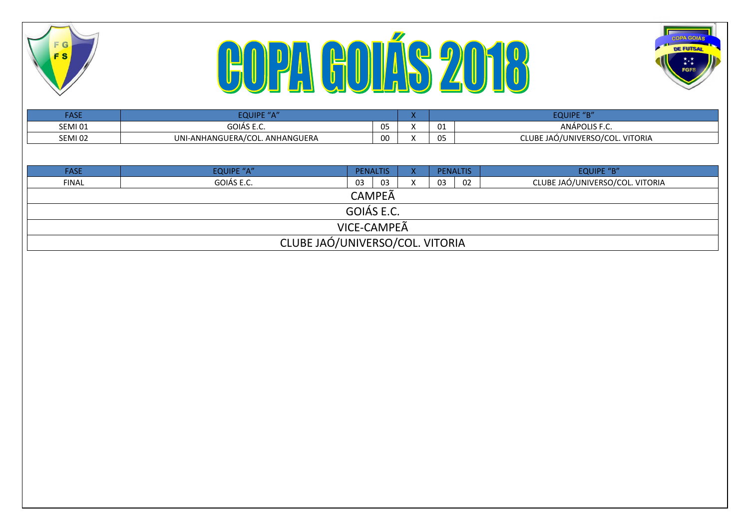





| <b>FASE</b>    | EQUIPE "A"                     |              |         |    | <b>EQUIPE "B"</b>               |
|----------------|--------------------------------|--------------|---------|----|---------------------------------|
| SEMI01         | GOIÁS E.C.                     | 05<br>ັບ     |         | 01 | ANÁPOLIS F.C.                   |
| <b>SEMI 02</b> | UNI-ANHANGUERA/COL. ANHANGUERA | $\sim$<br>vu | $\cdot$ | 05 | CLUBE JAÓ/UNIVERSO/COL. VITORIA |

| <b>FASE</b>                     | <b>EQUIPE "A"</b> | <b>PENALTIS</b> |     |  | <b>PENALTIS</b> |  | <b>EQUIPE "B"</b>               |  |
|---------------------------------|-------------------|-----------------|-----|--|-----------------|--|---------------------------------|--|
| <b>FINAL</b>                    | GOIÁS E.C.        | 03              | -03 |  | 02<br>03        |  | CLUBE JAÓ/UNIVERSO/COL. VITORIA |  |
| <b>CAMPEÃ</b>                   |                   |                 |     |  |                 |  |                                 |  |
|                                 | GOIÁS E.C.        |                 |     |  |                 |  |                                 |  |
|                                 | VICE-CAMPEA       |                 |     |  |                 |  |                                 |  |
| CLUBE JAÓ/UNIVERSO/COL. VITORIA |                   |                 |     |  |                 |  |                                 |  |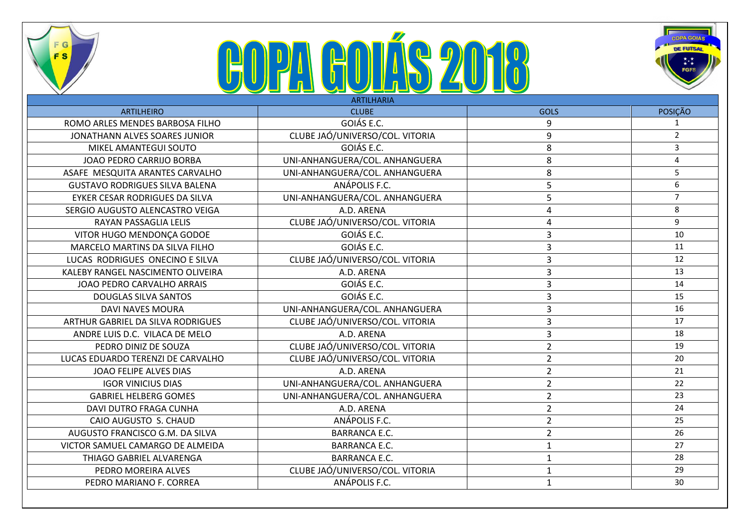

## **COPA GOLÍS 2018**



|                                       | <b>ARTILHARIA</b>               |                         |                |
|---------------------------------------|---------------------------------|-------------------------|----------------|
| <b>ARTILHEIRO</b>                     | <b>CLUBE</b>                    | <b>GOLS</b>             | POSIÇÃO        |
| ROMO ARLES MENDES BARBOSA FILHO       | GOIÁS E.C.                      | 9                       | $\mathbf{1}$   |
| JONATHANN ALVES SOARES JUNIOR         | CLUBE JAÓ/UNIVERSO/COL. VITORIA | 9                       | $\overline{2}$ |
| MIKEL AMANTEGUI SOUTO                 | GOIÁS E.C.                      | 8                       | $\overline{3}$ |
| JOAO PEDRO CARRIJO BORBA              | UNI-ANHANGUERA/COL. ANHANGUERA  | 8                       | $\overline{4}$ |
| ASAFE MESQUITA ARANTES CARVALHO       | UNI-ANHANGUERA/COL. ANHANGUERA  | 8                       | 5              |
| <b>GUSTAVO RODRIGUES SILVA BALENA</b> | ANÁPOLIS F.C.                   | 5                       | 6              |
| EYKER CESAR RODRIGUES DA SILVA        | UNI-ANHANGUERA/COL. ANHANGUERA  | 5                       | $7^{\circ}$    |
| SERGIO AUGUSTO ALENCASTRO VEIGA       | A.D. ARENA                      | $\overline{4}$          | 8              |
| RAYAN PASSAGLIA LELIS                 | CLUBE JAÓ/UNIVERSO/COL. VITORIA | $\overline{4}$          | 9              |
| VITOR HUGO MENDONÇA GODOE             | GOIÁS E.C.                      | $\overline{3}$          | 10             |
| MARCELO MARTINS DA SILVA FILHO        | GOIÁS E.C.                      | $\overline{3}$          | 11             |
| LUCAS RODRIGUES ONECINO E SILVA       | CLUBE JAÓ/UNIVERSO/COL. VITORIA | $\overline{3}$          | 12             |
| KALEBY RANGEL NASCIMENTO OLIVEIRA     | A.D. ARENA                      | $\overline{\mathbf{3}}$ | 13             |
| JOAO PEDRO CARVALHO ARRAIS            | GOIÁS E.C.                      | $\overline{\mathbf{3}}$ | 14             |
| <b>DOUGLAS SILVA SANTOS</b>           | GOIÁS E.C.                      | $\overline{3}$          | 15             |
| <b>DAVI NAVES MOURA</b>               | UNI-ANHANGUERA/COL. ANHANGUERA  | $\overline{3}$          | 16             |
| ARTHUR GABRIEL DA SILVA RODRIGUES     | CLUBE JAÓ/UNIVERSO/COL. VITORIA | $\overline{3}$          | 17             |
| ANDRE LUIS D.C. VILACA DE MELO        | A.D. ARENA                      | $\overline{3}$          | 18             |
| PEDRO DINIZ DE SOUZA                  | CLUBE JAÓ/UNIVERSO/COL. VITORIA | $\overline{2}$          | 19             |
| LUCAS EDUARDO TERENZI DE CARVALHO     | CLUBE JAÓ/UNIVERSO/COL. VITORIA | $\overline{2}$          | 20             |
| JOAO FELIPE ALVES DIAS                | A.D. ARENA                      | $\overline{2}$          | 21             |
| <b>IGOR VINICIUS DIAS</b>             | UNI-ANHANGUERA/COL. ANHANGUERA  | $\overline{2}$          | 22             |
| <b>GABRIEL HELBERG GOMES</b>          | UNI-ANHANGUERA/COL. ANHANGUERA  | $\overline{2}$          | 23             |
| <b>DAVI DUTRO FRAGA CUNHA</b>         | A.D. ARENA                      | $\overline{2}$          | 24             |
| CAIO AUGUSTO S. CHAUD                 | ANÁPOLIS F.C.                   | $\overline{2}$          | 25             |
| AUGUSTO FRANCISCO G.M. DA SILVA       | <b>BARRANCA E.C.</b>            | $\overline{2}$          | 26             |
| VICTOR SAMUEL CAMARGO DE ALMEIDA      | <b>BARRANCA E.C.</b>            | $\mathbf{1}$            | 27             |
| THIAGO GABRIEL ALVARENGA              | <b>BARRANCA E.C.</b>            | $\mathbf{1}$            | 28             |
| PEDRO MOREIRA ALVES                   | CLUBE JAÓ/UNIVERSO/COL. VITORIA | $\mathbf{1}$            | 29             |
| PEDRO MARIANO F. CORREA               | ANÁPOLIS F.C.                   | $\mathbf{1}$            | 30             |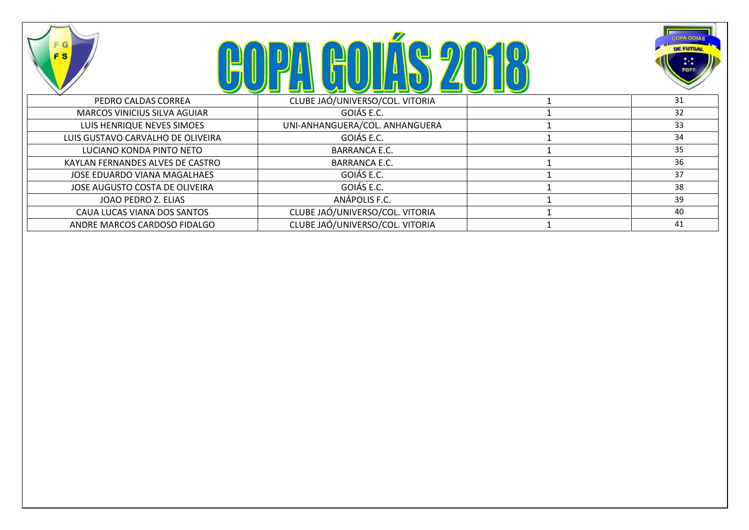





|                                     |                                 | <u>and the second second second second second second second second second second second second second second second second second second second second second second second second second second second second second second sec</u> |    |
|-------------------------------------|---------------------------------|--------------------------------------------------------------------------------------------------------------------------------------------------------------------------------------------------------------------------------------|----|
| PEDRO CALDAS CORREA                 | CLUBE JAÓ/UNIVERSO/COL. VITORIA |                                                                                                                                                                                                                                      | 31 |
| <b>MARCOS VINICIUS SILVA AGUIAR</b> | GOIÁS E.C.                      |                                                                                                                                                                                                                                      | 32 |
| LUIS HENRIQUE NEVES SIMOES          | UNI-ANHANGUERA/COL. ANHANGUERA  |                                                                                                                                                                                                                                      | 33 |
| LUIS GUSTAVO CARVALHO DE OLIVEIRA   | GOIÁS E.C.                      |                                                                                                                                                                                                                                      | 34 |
| LUCIANO KONDA PINTO NETO            | <b>BARRANCA E.C.</b>            |                                                                                                                                                                                                                                      | 35 |
| KAYLAN FERNANDES ALVES DE CASTRO    | <b>BARRANCA E.C.</b>            |                                                                                                                                                                                                                                      | 36 |
| <b>JOSE EDUARDO VIANA MAGALHAES</b> | GOIÁS E.C.                      |                                                                                                                                                                                                                                      | 37 |
| JOSE AUGUSTO COSTA DE OLIVEIRA      | GOIÁS E.C.                      |                                                                                                                                                                                                                                      | 38 |
| JOAO PEDRO Z. ELIAS                 | ANÁPOLIS F.C.                   |                                                                                                                                                                                                                                      | 39 |
| CAUA LUCAS VIANA DOS SANTOS         | CLUBE JAÓ/UNIVERSO/COL. VITORIA |                                                                                                                                                                                                                                      | 40 |
| ANDRE MARCOS CARDOSO FIDALGO        | CLUBE JAÓ/UNIVERSO/COL. VITORIA |                                                                                                                                                                                                                                      | 41 |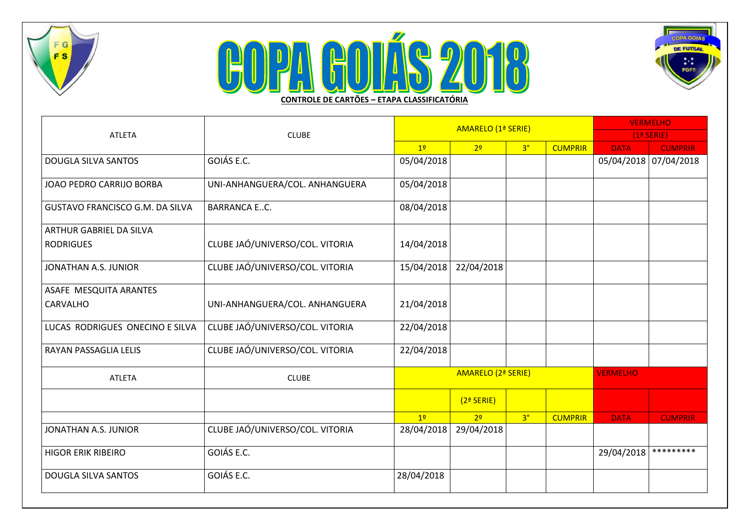

## COPA GOLÁS 2016 **CONTROLE DE CARTÕES – ETAPA CLASSIFICATÓRIA**



|                                        |                                 |                    | AMARELO (1ª SERIE) | <b>VERMELHO</b> |                |                       |                |
|----------------------------------------|---------------------------------|--------------------|--------------------|-----------------|----------------|-----------------------|----------------|
| <b>ATLETA</b>                          | <b>CLUBE</b>                    |                    |                    |                 | $(1a$ SERIE)   |                       |                |
|                                        |                                 | 1 <sup>0</sup>     | 2 <sup>o</sup>     | 3 <sup>°</sup>  | <b>CUMPRIR</b> | <b>DATA</b>           | <b>CUMPRIR</b> |
| <b>DOUGLA SILVA SANTOS</b>             | GOIÁS E.C.                      | 05/04/2018         |                    |                 |                | 05/04/2018 07/04/2018 |                |
| JOAO PEDRO CARRIJO BORBA               | UNI-ANHANGUERA/COL. ANHANGUERA  | 05/04/2018         |                    |                 |                |                       |                |
| <b>GUSTAVO FRANCISCO G.M. DA SILVA</b> | <b>BARRANCA EC.</b>             | 08/04/2018         |                    |                 |                |                       |                |
| <b>ARTHUR GABRIEL DA SILVA</b>         |                                 |                    |                    |                 |                |                       |                |
| <b>RODRIGUES</b>                       | CLUBE JAÓ/UNIVERSO/COL. VITORIA | 14/04/2018         |                    |                 |                |                       |                |
| JONATHAN A.S. JUNIOR                   | CLUBE JAÓ/UNIVERSO/COL. VITORIA | 15/04/2018         | 22/04/2018         |                 |                |                       |                |
| ASAFE MESQUITA ARANTES                 |                                 |                    |                    |                 |                |                       |                |
| CARVALHO                               | UNI-ANHANGUERA/COL. ANHANGUERA  | 21/04/2018         |                    |                 |                |                       |                |
| LUCAS RODRIGUES ONECINO E SILVA        | CLUBE JAÓ/UNIVERSO/COL. VITORIA | 22/04/2018         |                    |                 |                |                       |                |
| RAYAN PASSAGLIA LELIS                  | CLUBE JAÓ/UNIVERSO/COL. VITORIA | 22/04/2018         |                    |                 |                |                       |                |
| <b>ATLETA</b>                          | <b>CLUBE</b>                    | AMARELO (2ª SERIE) |                    | <b>VERMELHO</b> |                |                       |                |
|                                        |                                 |                    | $(2a$ SERIE)       |                 |                |                       |                |
|                                        |                                 | 1 <sup>°</sup>     | 2 <sup>0</sup>     | 3 <sup>°</sup>  | <b>CUMPRIR</b> | <b>DATA</b>           | <b>CUMPRIR</b> |
| JONATHAN A.S. JUNIOR                   | CLUBE JAÓ/UNIVERSO/COL. VITORIA | 28/04/2018         | 29/04/2018         |                 |                |                       |                |
| <b>HIGOR ERIK RIBEIRO</b>              | GOIÁS E.C.                      |                    |                    |                 |                | 29/04/2018            | *********      |
| <b>DOUGLA SILVA SANTOS</b>             | GOIÁS E.C.                      | 28/04/2018         |                    |                 |                |                       |                |